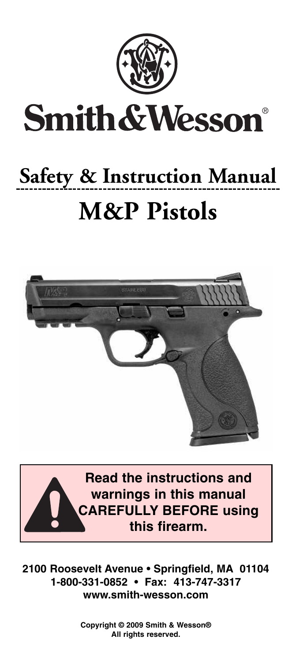

# **Safety & Instruction Manual M&P Pistols**





**2100 Roosevelt Avenue • Springfield, MA 01104 1-800-331-0852 • Fax: 413-747-3317 www.smith-wesson.com**

> **Copyright © 2009 Smith & Wesson® All rights reserved.**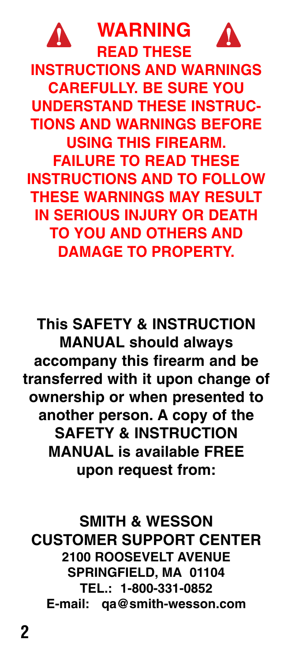

**WARNING READ THESE**



**INSTRUCTIONS AND WARNINGS CAREFULLY. BE SURE YOU UNDERSTAND THESE INSTRUC-TIONS AND WARNINGS BEFORE USING THIS FIREARM. FAILURE TO READ THESE INSTRUCTIONS AND TO FOLLOW THESE WARNINGS MAY RESULT IN SERIOUS INJURY OR DEATH TO YOU AND OTHERS AND DAMAGE TO PROPERTY.**

**This SAFETY & INSTRUCTION MANUAL should always accompany this firearm and be transferred with it upon change of ownership or when presented to another person. A copy of the SAFETY & INSTRUCTION MANUAL is available FREE upon request from:**

**SMITH & WESSON CUSTOMER SUPPORT CENTER 2100 ROOSEVELT AVENUE SPRINGFIELD, MA 01104 TEL.: 1-800-331-0852 E-mail: qa@smith-wesson.com**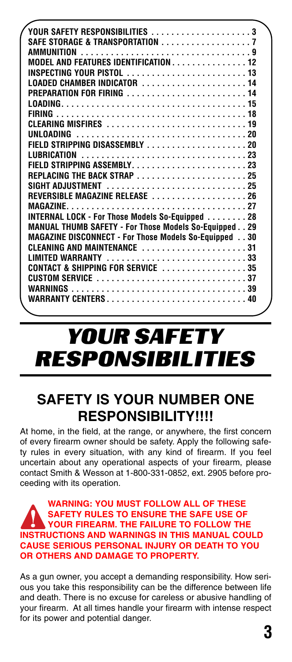| YOUR SAFETY RESPONSIBILITIES 3                           |
|----------------------------------------------------------|
| SAFE STORAGE & TRANSPORTATION 7                          |
|                                                          |
| MODEL AND FEATURES IDENTIFICATION 12                     |
|                                                          |
| LOADED CHAMBER INDICATOR 14                              |
| PREPARATION FOR FIRING  14                               |
|                                                          |
|                                                          |
| CLEARING MISFIRES 19                                     |
| UNLOADING 20                                             |
|                                                          |
| LUBRICATION 23                                           |
|                                                          |
| REPLACING THE BACK STRAP 25                              |
|                                                          |
| REVERSIBLE MAGAZINE RELEASE 26                           |
|                                                          |
| INTERNAL LOCK - For Those Models So-Equipped  28         |
| MANUAL THUMB SAFETY - For Those Models So-Equipped. . 29 |
| MAGAZINE DISCONNECT - For Those Models So-Equipped 30    |
| CLEANING AND MAINTENANCE 31                              |
| LIMITED WARRANTY 33                                      |
| CONTACT & SHIPPING FOR SERVICE 35                        |
|                                                          |
|                                                          |
| <b>WARRANTY CENTERS40</b>                                |
|                                                          |

## YOUR SAFETY RESPONSIBILITIES

## **SAFETY IS YOUR NUMBER ONE RESPONSIBILITY!!!!**

At home, in the field, at the range, or anywhere, the first concern of every firearm owner should be safety. Apply the following safety rules in every situation, with any kind of firearm. If you feel uncertain about any operational aspects of your firearm, please contact Smith & Wesson at 1-800-331-0852, ext. 2905 before proceeding with its operation.

#### **WARNING: YOU MUST FOLLOW ALL OF THESE SAFETY RULES TO ENSURE THE SAFE USE OF YOUR FIREARM. THE FAILURE TO FOLLOW THE INSTRUCTIONS AND WARNINGS IN THIS MANUAL COULD CAUSE SERIOUS PERSONAL INJURY OR DEATH TO YOU OR OTHERS AND DAMAGE TO PROPERTY.**

As a gun owner, you accept a demanding responsibility. How serious you take this responsibility can be the difference between life and death. There is no excuse for careless or abusive handling of your firearm. At all times handle your firearm with intense respect for its power and potential danger.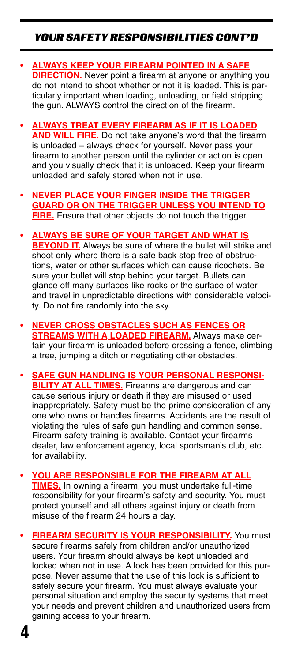## YOUR SAFETY RESPONSIBILITIES CONT'D

- **• ALWAYS KEEP YOUR FIREARM POINTED IN A SAFE DIRECTION.** Never point a firearm at anyone or anything you do not intend to shoot whether or not it is loaded. This is particularly important when loading, unloading, or field stripping the gun. ALWAYS control the direction of the firearm.
- **• ALWAYS TREAT EVERY FIREARM AS IF IT IS LOADED AND WILL FIRE.** Do not take anyone's word that the firearm is unloaded – always check for yourself. Never pass your firearm to another person until the cylinder or action is open and you visually check that it is unloaded. Keep your firearm unloaded and safely stored when not in use.
- **• NEVER PLACE YOUR FINGER INSIDE THE TRIGGER GUARD OR ON THE TRIGGER UNLESS YOU INTEND TO FIRE.** Ensure that other objects do not touch the trigger.
- **• ALWAYS BE SURE OF YOUR TARGET AND WHAT IS BEYOND IT.** Always be sure of where the bullet will strike and shoot only where there is a safe back stop free of obstructions, water or other surfaces which can cause ricochets. Be sure your bullet will stop behind your target. Bullets can glance off many surfaces like rocks or the surface of water and travel in unpredictable directions with considerable velocity. Do not fire randomly into the sky.
- **• NEVER CROSS OBSTACLES SUCH AS FENCES OR STREAMS WITH A LOADED FIREARM.** Always make certain your firearm is unloaded before crossing a fence, climbing a tree, jumping a ditch or negotiating other obstacles.
- **• SAFE GUN HANDLING IS YOUR PERSONAL RESPONSI-BILITY AT ALL TIMES.** Firearms are dangerous and can cause serious injury or death if they are misused or used inappropriately. Safety must be the prime consideration of any one who owns or handles firearms. Accidents are the result of violating the rules of safe gun handling and common sense. Firearm safety training is available. Contact your firearms dealer, law enforcement agency, local sportsman's club, etc. for availability.
- **• YOU ARE RESPONSIBLE FOR THE FIREARM AT ALL TIMES.** In owning a firearm, you must undertake full-time responsibility for your firearm's safety and security. You must protect yourself and all others against injury or death from misuse of the firearm 24 hours a day.
- **• FIREARM SECURITY IS YOUR RESPONSIBILITY.** You must secure firearms safely from children and/or unauthorized users. Your firearm should always be kept unloaded and locked when not in use. A lock has been provided for this purpose. Never assume that the use of this lock is sufficient to safely secure your firearm. You must always evaluate your personal situation and employ the security systems that meet your needs and prevent children and unauthorized users from gaining access to your firearm.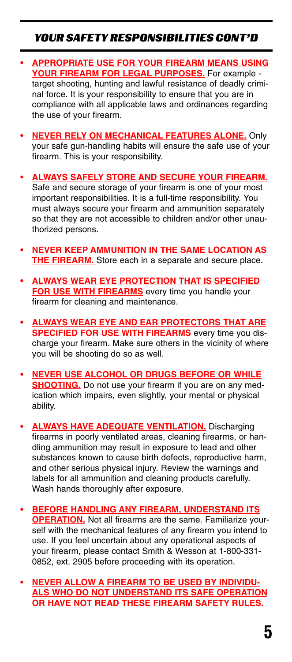## YOUR SAFETY RESPONSIBILITIES CONT'D

- **• APPROPRIATE USE FOR YOUR FIREARM MEANS USING YOUR FIREARM FOR LEGAL PURPOSES.** For example target shooting, hunting and lawful resistance of deadly criminal force. It is your responsibility to ensure that you are in compliance with all applicable laws and ordinances regarding the use of your firearm.
- **• NEVER RELY ON MECHANICAL FEATURES ALONE.** Only your safe gun-handling habits will ensure the safe use of your firearm. This is your responsibility.
- **• ALWAYS SAFELY STORE AND SECURE YOUR FIREARM.** Safe and secure storage of your firearm is one of your most important responsibilities. It is a full-time responsibility. You must always secure your firearm and ammunition separately so that they are not accessible to children and/or other unauthorized persons.
- **• NEVER KEEP AMMUNITION IN THE SAME LOCATION AS THE FIREARM.** Store each in a separate and secure place.
- **• ALWAYS WEAR EYE PROTECTION THAT IS SPECIFIED FOR USE WITH FIREARMS** every time you handle your firearm for cleaning and maintenance.
- **• ALWAYS WEAR EYE AND EAR PROTECTORS THAT ARE SPECIFIED FOR USE WITH FIREARMS** every time you discharge your firearm. Make sure others in the vicinity of where you will be shooting do so as well.
- **• NEVER USE ALCOHOL OR DRUGS BEFORE OR WHILE SHOOTING.** Do not use your firearm if you are on any medication which impairs, even slightly, your mental or physical ability.
- **• ALWAYS HAVE ADEQUATE VENTILATION.** Discharging firearms in poorly ventilated areas, cleaning firearms, or handling ammunition may result in exposure to lead and other substances known to cause birth defects, reproductive harm, and other serious physical injury. Review the warnings and labels for all ammunition and cleaning products carefully. Wash hands thoroughly after exposure.
- **• BEFORE HANDLING ANY FIREARM, UNDERSTAND ITS OPERATION.** Not all firearms are the same. Familiarize yourself with the mechanical features of any firearm you intend to use. If you feel uncertain about any operational aspects of your firearm, please contact Smith & Wesson at 1-800-331- 0852, ext. 2905 before proceeding with its operation.
- **• NEVER ALLOW A FIREARM TO BE USED BY INDIVIDU-ALS WHO DO NOT UNDERSTAND ITS SAFE OPERATION OR HAVE NOT READ THESE FIREARM SAFETY RULES.**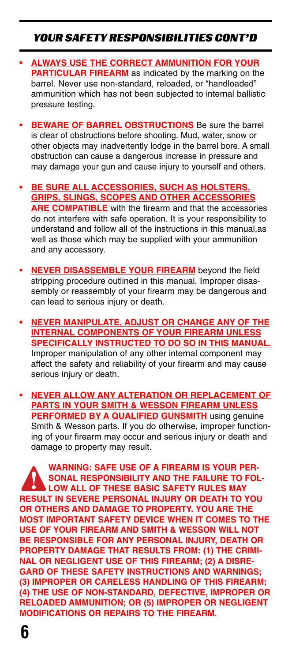## YOUR SAFETY RESPONSIBILITIES CONT'D

- **• ALWAYS USE THE CORRECT AMMUNITION FOR YOUR PARTICULAR FIREARM** as indicated by the marking on the barrel. Never use non-standard, reloaded, or "handloaded" ammunition which has not been subjected to internal ballistic pressure testing.
- **• BEWARE OF BARREL OBSTRUCTIONS** Be sure the barrel is clear of obstructions before shooting. Mud, water, snow or other objects may inadvertently lodge in the barrel bore. A small obstruction can cause a dangerous increase in pressure and may damage your gun and cause injury to yourself and others.
- **• BE SURE ALL ACCESSORIES, SUCH AS HOLSTERS. GRIPS, SLINGS, SCOPES AND OTHER ACCESSORIES ARE COMPATIBLE** with the firearm and that the accessories do not interfere with safe operation. It is your responsibility to understand and follow all of the instructions in this manual,as well as those which may be supplied with your ammunition and any accessory.
- **NEVER DISASSEMBLE YOUR FIREARM** beyond the field stripping procedure outlined in this manual. Improper disassembly or reassembly of your firearm may be dangerous and can lead to serious injury or death.
- **• NEVER MANIPULATE, ADJUST OR CHANGE ANY OF THE INTERNAL COMPONENTS OF YOUR FIREARM UNLESS SPECIFICALLY INSTRUCTED TO DO SO IN THIS MANUAL.** Improper manipulation of any other internal component may affect the safety and reliability of your firearm and may cause serious injury or death.
- **• NEVER ALLOW ANY ALTERATION OR REPLACEMENT OF PARTS IN YOUR SMITH & WESSON FIREARM UNLESS PERFORMED BY A QUALIFIED GUNSMITH** using genuine Smith & Wesson parts. If you do otherwise, improper functioning of your firearm may occur and serious injury or death and damage to property may result.

**WARNING: SAFE USE OF A FIREARM IS YOUR PER-SONAL RESPONSIBILITY AND THE FAILURE TO FOL-LOW ALL OF THESE BASIC SAFETY RULES MAY RESULT IN SEVERE PERSONAL INJURY OR DEATH TO YOU OR OTHERS AND DAMAGE TO PROPERTY. YOU ARE THE MOST IMPORTANT SAFETY DEVICE WHEN IT COMES TO THE USE OF YOUR FIREARM AND SMITH & WESSON WILL NOT BE RESPONSIBLE FOR ANY PERSONAL INJURY, DEATH OR PROPERTY DAMAGE THAT RESULTS FROM: (1) THE CRIMI-NAL OR NEGLIGENT USE OF THIS FIREARM; (2) A DISRE-GARD OF THESE SAFETY INSTRUCTIONS AND WARNINGS; (3) IMPROPER OR CARELESS HANDLING OF THIS FIREARM; (4) THE USE OF NON-STANDARD, DEFECTIVE, IMPROPER OR RELOADED AMMUNITION; OR (5) IMPROPER OR NEGLIGENT MODIFICATIONS OR REPAIRS TO THE FIREARM.**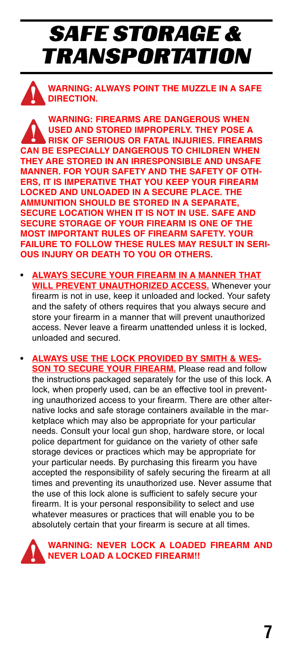# SAFE STORAGE & TRANSPORTATION

**WARNING: ALWAYS POINT THE MUZZLE IN A SAFE DIRECTION.**

**WARNING: FIREARMS ARE DANGEROUS WHEN USED AND STORED IMPROPERLY. THEY POSE A RISK OF SERIOUS OR FATAL INJURIES. FIREARMS CAN BE ESPECIALLY DANGEROUS TO CHILDREN WHEN THEY ARE STORED IN AN IRRESPONSIBLE AND UNSAFE MANNER. FOR YOUR SAFETY AND THE SAFETY OF OTH-ERS, IT IS IMPERATIVE THAT YOU KEEP YOUR FIREARM LOCKED AND UNLOADED IN A SECURE PLACE. THE AMMUNITION SHOULD BE STORED IN A SEPARATE, SECURE LOCATION WHEN IT IS NOT IN USE. SAFE AND SECURE STORAGE OF YOUR FIREARM IS ONE OF THE MOST IMPORTANT RULES OF FIREARM SAFETY. YOUR FAILURE TO FOLLOW THESE RULES MAY RESULT IN SERI-OUS INJURY OR DEATH TO YOU OR OTHERS.**

- **• ALWAYS SECURE YOUR FIREARM IN A MANNER THAT WILL PREVENT UNAUTHORIZED ACCESS.** Whenever your firearm is not in use, keep it unloaded and locked. Your safety and the safety of others requires that you always secure and store your firearm in a manner that will prevent unauthorized access. Never leave a firearm unattended unless it is locked, unloaded and secured.
- **• ALWAYS USE THE LOCK PROVIDED BY SMITH & WES-SON TO SECURE YOUR FIREARM.** Please read and follow the instructions packaged separately for the use of this lock. A lock, when properly used, can be an effective tool in preventing unauthorized access to your firearm. There are other alternative locks and safe storage containers available in the marketplace which may also be appropriate for your particular needs. Consult your local gun shop, hardware store, or local police department for guidance on the variety of other safe storage devices or practices which may be appropriate for your particular needs. By purchasing this firearm you have accepted the responsibility of safely securing the firearm at all times and preventing its unauthorized use. Never assume that the use of this lock alone is sufficient to safely secure your firearm. It is your personal responsibility to select and use whatever measures or practices that will enable you to be absolutely certain that your firearm is secure at all times.

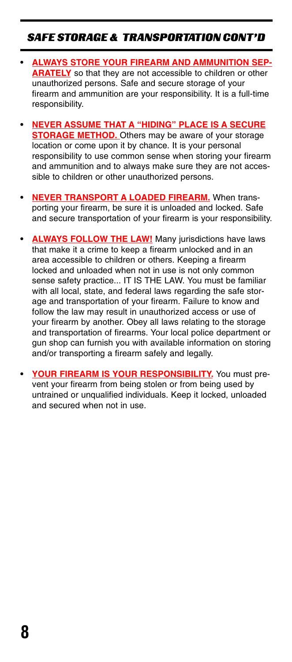## SAFE STORAGE & TRANSPORTATION CONT'D

- **• ALWAYS STORE YOUR FIREARM AND AMMUNITION SEP-ARATELY** so that they are not accessible to children or other unauthorized persons. Safe and secure storage of your firearm and ammunition are your responsibility. It is a full-time responsibility.
- **• NEVER ASSUME THAT A "HIDING" PLACE IS A SECURE STORAGE METHOD.** Others may be aware of your storage location or come upon it by chance. It is your personal responsibility to use common sense when storing your firearm and ammunition and to always make sure they are not accessible to children or other unauthorized persons.
- **• NEVER TRANSPORT A LOADED FIREARM.** When transporting your firearm, be sure it is unloaded and locked. Safe and secure transportation of your firearm is your responsibility.
- **• ALWAYS FOLLOW THE LAW!** Many jurisdictions have laws that make it a crime to keep a firearm unlocked and in an area accessible to children or others. Keeping a firearm locked and unloaded when not in use is not only common sense safety practice... IT IS THE LAW. You must be familiar with all local, state, and federal laws regarding the safe storage and transportation of your firearm. Failure to know and follow the law may result in unauthorized access or use of your firearm by another. Obey all laws relating to the storage and transportation of firearms. Your local police department or gun shop can furnish you with available information on storing and/or transporting a firearm safely and legally.
- **• YOUR FIREARM IS YOUR RESPONSIBILITY.** You must prevent your firearm from being stolen or from being used by untrained or unqualified individuals. Keep it locked, unloaded and secured when not in use.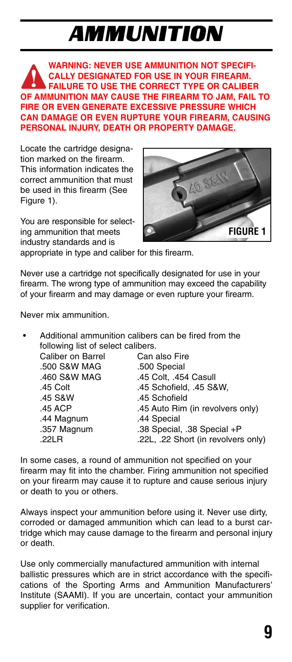# AMMUNITION

**WARNING: NEVER USE AMMUNITION NOT SPECIFI-CALLY DESIGNATED FOR USE IN YOUR FIREARM. FAILURE TO USE THE CORRECT TYPE OR CALIBER OF AMMUNITION MAY CAUSE THE FIREARM TO JAM, FAIL TO FIRE OR EVEN GENERATE EXCESSIVE PRESSURE WHICH CAN DAMAGE OR EVEN RUPTURE YOUR FIREARM, CAUSING PERSONAL INJURY, DEATH OR PROPERTY DAMAGE.**

Locate the cartridge designation marked on the firearm. This information indicates the correct ammunition that must be used in this firearm (See Figure 1).

You are responsible for selecting ammunition that meets industry standards and is



appropriate in type and caliber for this firearm.

Never use a cartridge not specifically designated for use in your firearm. The wrong type of ammunition may exceed the capability of your firearm and may damage or even rupture your firearm.

Never mix ammunition.

• Additional ammunition calibers can be fired from the following list of select calibers.

| Caliber on Barrel | Can also Fire                       |
|-------------------|-------------------------------------|
| .500 S&W MAG      | .500 Special                        |
| .460 S&W MAG      | .45 Colt. .454 Casull               |
| .45 Colt          | .45 Schofield, .45 S&W,             |
| .45 S&W           | .45 Schofield                       |
| .45 ACP           | .45 Auto Rim (in revolvers only)    |
| .44 Magnum        | .44 Special                         |
| .357 Magnum       | .38 Special, .38 Special +P         |
| .22LR             | .22L, .22 Short (in revolvers only) |
|                   |                                     |

In some cases, a round of ammunition not specified on your firearm may fit into the chamber. Firing ammunition not specified on your firearm may cause it to rupture and cause serious injury or death to you or others.

Always inspect your ammunition before using it. Never use dirty, corroded or damaged ammunition which can lead to a burst cartridge which may cause damage to the firearm and personal injury or death.

Use only commercially manufactured ammunition with internal ballistic pressures which are in strict accordance with the specifications of the Sporting Arms and Ammunition Manufacturers' Institute (SAAMI). If you are uncertain, contact your ammunition supplier for verification.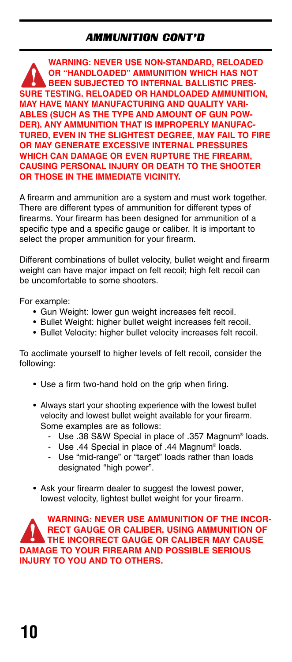## AMMUNITION CONT'D

**WARNING: NEVER USE NON-STANDARD, RELOADED OR "HANDLOADED" AMMUNITION WHICH HAS NOT BEEN SUBJECTED TO INTERNAL BALLISTIC PRES-SURE TESTING. RELOADED OR HANDLOADED AMMUNITION, MAY HAVE MANY MANUFACTURING AND QUALITY VARI-ABLES (SUCH AS THE TYPE AND AMOUNT OF GUN POW-DER). ANY AMMUNITION THAT IS IMPROPERLY MANUFAC-TURED, EVEN IN THE SLIGHTEST DEGREE, MAY FAIL TO FIRE OR MAY GENERATE EXCESSIVE INTERNAL PRESSURES WHICH CAN DAMAGE OR EVEN RUPTURE THE FIREARM, CAUSING PERSONAL INJURY OR DEATH TO THE SHOOTER OR THOSE IN THE IMMEDIATE VICINITY.**

A firearm and ammunition are a system and must work together. There are different types of ammunition for different types of firearms. Your firearm has been designed for ammunition of a specific type and a specific gauge or caliber. It is important to select the proper ammunition for your firearm.

Different combinations of bullet velocity, bullet weight and firearm weight can have major impact on felt recoil; high felt recoil can be uncomfortable to some shooters.

For example:

- Gun Weight: lower gun weight increases felt recoil.
- Bullet Weight: higher bullet weight increases felt recoil.
- Bullet Velocity: higher bullet velocity increases felt recoil.

To acclimate yourself to higher levels of felt recoil, consider the following:

- Use a firm two-hand hold on the grip when firing.
- Always start your shooting experience with the lowest bullet velocity and lowest bullet weight available for your firearm. Some examples are as follows:
	- Use .38 S&W Special in place of .357 Magnum® loads.
	- Use .44 Special in place of .44 Magnum<sup>®</sup> loads.
	- Use "mid-range" or "target" loads rather than loads designated "high power".
- Ask your firearm dealer to suggest the lowest power, lowest velocity, lightest bullet weight for your firearm.

**WARNING: NEVER USE AMMUNITION OF THE INCOR-RECT GAUGE OR CALIBER. USING AMMUNITION OF THE INCORRECT GAUGE OR CALIBER MAY CAUSE DAMAGE TO YOUR FIREARM AND POSSIBLE SERIOUS INJURY TO YOU AND TO OTHERS.**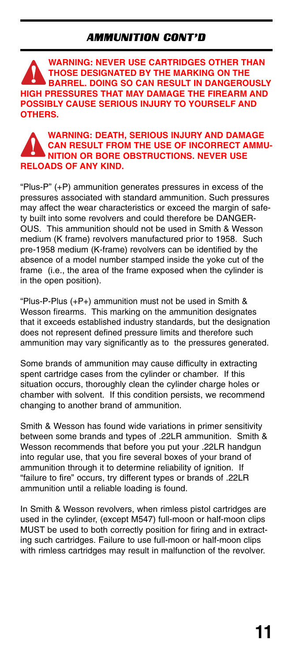### AMMUNITION CONT'D

**WARNING: NEVER USE CARTRIDGES OTHER THAN THOSE DESIGNATED BY THE MARKING ON THE BARREL. DOING SO CAN RESULT IN DANGEROUSLY HIGH PRESSURES THAT MAY DAMAGE THE FIREARM AND POSSIBLY CAUSE SERIOUS INJURY TO YOURSELF AND OTHERS.**

### **WARNING: DEATH, SERIOUS INJURY AND DAMAGE CAN RESULT FROM THE USE OF INCORRECT AMMU-NITION OR BORE OBSTRUCTIONS. NEVER USE RELOADS OF ANY KIND.**

"Plus-P" (+P) ammunition generates pressures in excess of the pressures associated with standard ammunition. Such pressures may affect the wear characteristics or exceed the margin of safety built into some revolvers and could therefore be DANGER-OUS. This ammunition should not be used in Smith & Wesson medium (K frame) revolvers manufactured prior to 1958. Such pre-1958 medium (K-frame) revolvers can be identified by the absence of a model number stamped inside the yoke cut of the frame (i.e., the area of the frame exposed when the cylinder is in the open position).

"Plus-P-Plus (+P+) ammunition must not be used in Smith & Wesson firearms. This marking on the ammunition designates that it exceeds established industry standards, but the designation does not represent defined pressure limits and therefore such ammunition may vary significantly as to the pressures generated.

Some brands of ammunition may cause difficulty in extracting spent cartridge cases from the cylinder or chamber. If this situation occurs, thoroughly clean the cylinder charge holes or chamber with solvent. If this condition persists, we recommend changing to another brand of ammunition.

Smith & Wesson has found wide variations in primer sensitivity between some brands and types of .22LR ammunition. Smith & Wesson recommends that before you put your .22LR handgun into regular use, that you fire several boxes of your brand of ammunition through it to determine reliability of ignition. If "failure to fire" occurs, try different types or brands of .22LR ammunition until a reliable loading is found.

In Smith & Wesson revolvers, when rimless pistol cartridges are used in the cylinder, (except M547) full-moon or half-moon clips MUST be used to both correctly position for firing and in extracting such cartridges. Failure to use full-moon or half-moon clips with rimless cartridges may result in malfunction of the revolver.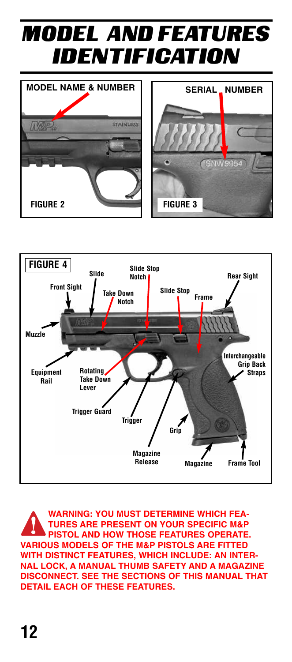# MODEL AND FEATURES IDENTIFICATION







**WARNING: YOU MUST DETERMINE WHICH FEA-TURES ARE PRESENT ON YOUR SPECIFIC M&P PISTOL AND HOW THOSE FEATURES OPERATE. VARIOUS MODELS OF THE M&P PISTOLS ARE FITTED WITH DISTINCT FEATURES, WHICH INCLUDE: AN INTER-NAL LOCK, A MANUAL THUMB SAFETY AND A MAGAZINE DISCONNECT. SEE THE SECTIONS OF THIS MANUAL THAT DETAIL EACH OF THESE FEATURES.**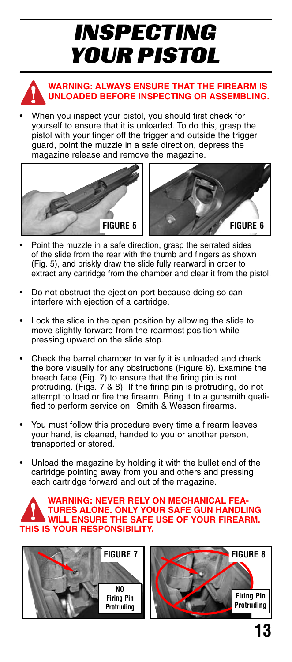# INSPECTING YOUR PISTOL



### **WARNING: ALWAYS ENSURE THAT THE FIREARM IS UNLOADED BEFORE INSPECTING OR ASSEMBLING.**

• When you inspect your pistol, you should first check for yourself to ensure that it is unloaded. To do this, grasp the pistol with your finger off the trigger and outside the trigger guard, point the muzzle in a safe direction, depress the magazine release and remove the magazine.



- Point the muzzle in a safe direction, grasp the serrated sides of the slide from the rear with the thumb and fingers as shown (Fig. 5), and briskly draw the slide fully rearward in order to extract any cartridge from the chamber and clear it from the pistol.
- Do not obstruct the ejection port because doing so can interfere with ejection of a cartridge.
- Lock the slide in the open position by allowing the slide to move slightly forward from the rearmost position while pressing upward on the slide stop.
- Check the barrel chamber to verify it is unloaded and check the bore visually for any obstructions (Figure 6). Examine the breech face (Fig. 7) to ensure that the firing pin is not protruding. (Figs.  $7 \& 8$ ) If the firing pin is protruding, do not attempt to load or fire the firearm. Bring it to a gunsmith qualified to perform service on Smith & Wesson firearms.
- You must follow this procedure every time a firearm leaves your hand, is cleaned, handed to you or another person, transported or stored.
- Unload the magazine by holding it with the bullet end of the cartridge pointing away from you and others and pressing each cartridge forward and out of the magazine.

#### **WARNING: NEVER RELY ON MECHANICAL FEA-TURES ALONE. ONLY YOUR SAFE GUN HANDLING WILL ENSURE THE SAFE USE OF YOUR FIREARM. THIS IS YOUR RESPONSIBILITY.**

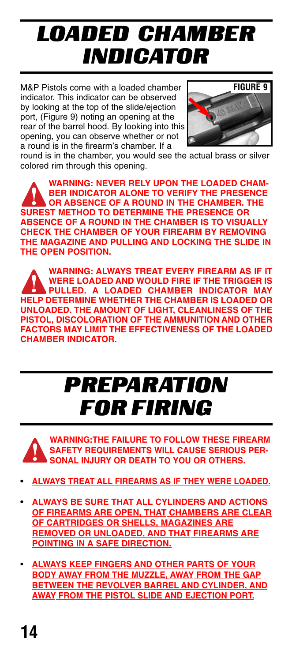# LOADED CHAMBER INDICATOR

M&P Pistols come with a loaded chamber indicator. This indicator can be observed by looking at the top of the slide/ejection port, (Figure 9) noting an opening at the rear of the barrel hood. By looking into this opening, you can observe whether or not a round is in the firearm's chamber. If a



round is in the chamber, you would see the actual brass or silver colored rim through this opening.

**WARNING: NEVER RELY UPON THE LOADED CHAM-BER INDICATOR ALONE TO VERIFY THE PRESENCE OR ABSENCE OF A ROUND IN THE CHAMBER. THE SUREST METHOD TO DETERMINE THE PRESENCE OR ABSENCE OF A ROUND IN THE CHAMBER IS TO VISUALLY CHECK THE CHAMBER OF YOUR FIREARM BY REMOVING THE MAGAZINE AND PULLING AND LOCKING THE SLIDE IN THE OPEN POSITION.**

**WARNING: ALWAYS TREAT EVERY FIREARM AS IF IT WERE LOADED AND WOULD FIRE IF THE TRIGGER IS PULLED. A LOADED CHAMBER INDICATOR MAY HELP DETERMINE WHETHER THE CHAMBER IS LOADED OR UNLOADED. THE AMOUNT OF LIGHT, CLEANLINESS OF THE PISTOL, DISCOLORATION OF THE AMMUNITION AND OTHER FACTORS MAY LIMIT THE EFFECTIVENESS OF THE LOADED CHAMBER INDICATOR.**

# PREPARATION FOR FIRING



- **• ALWAYS TREAT ALL FIREARMS AS IF THEY WERE LOADED.**
- **• ALWAYS BE SURE THAT ALL CYLINDERS AND ACTIONS OF FIREARMS ARE OPEN, THAT CHAMBERS ARE CLEAR OF CARTRIDGES OR SHELLS, MAGAZINES ARE REMOVED OR UNLOADED, AND THAT FIREARMS ARE POINTING IN A SAFE DIRECTION.**
- **ALWAYS KEEP FINGERS AND OTHER PARTS OF YOUR BODY AWAY FROM THE MUZZLE, AWAY FROM THE GAP BETWEEN THE REVOLVER BARREL AND CYLINDER, AND AWAY FROM THE PISTOL SLIDE AND EJECTION PORT.**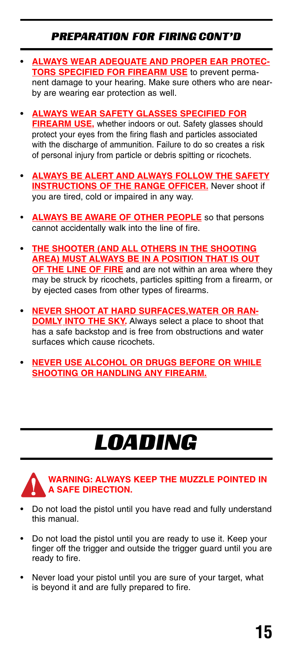### PREPARATION FOR FIRING CONT'D

- **• ALWAYS WEAR ADEQUATE AND PROPER EAR PROTEC-TORS SPECIFIED FOR FIREARM USE** to prevent permanent damage to your hearing. Make sure others who are nearby are wearing ear protection as well.
- **• ALWAYS WEAR SAFETY GLASSES SPECIFIED FOR FIREARM USE,** whether indoors or out. Safety glasses should protect your eyes from the firing flash and particles associated with the discharge of ammunition. Failure to do so creates a risk of personal injury from particle or debris spitting or ricochets.
- **• ALWAYS BE ALERT AND ALWAYS FOLLOW THE SAFETY INSTRUCTIONS OF THE RANGE OFFICER.** Never shoot if you are tired, cold or impaired in any way.
- **ALWAYS BE AWARE OF OTHER PEOPLE** so that persons cannot accidentally walk into the line of fire.
- **• THE SHOOTER (AND ALL OTHERS IN THE SHOOTING AREA) MUST ALWAYS BE IN A POSITION THAT IS OUT OF THE LINE OF FIRE** and are not within an area where they may be struck by ricochets, particles spitting from a firearm, or by ejected cases from other types of firearms.
- **• NEVER SHOOT AT HARD SURFACES,WATER OR RAN-DOMLY INTO THE SKY.** Always select a place to shoot that has a safe backstop and is free from obstructions and water surfaces which cause ricochets.
- **• NEVER USE ALCOHOL OR DRUGS BEFORE OR WHILE SHOOTING OR HANDLING ANY FIREARM.**

# LOADING



### **WARNING: ALWAYS KEEP THE MUZZLE POINTED IN A SAFE DIRECTION.**

- Do not load the pistol until you have read and fully understand this manual.
- Do not load the pistol until you are ready to use it. Keep your finger off the trigger and outside the trigger guard until you are ready to fire.
- Never load your pistol until you are sure of your target, what is beyond it and are fully prepared to fire.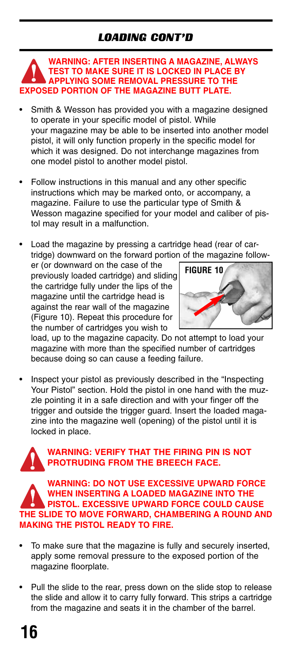## LOADING CONT'D

#### **WARNING: AFTER INSERTING A MAGAZINE, ALWAYS TEST TO MAKE SURE IT IS LOCKED IN PLACE BY APPLYING SOME REMOVAL PRESSURE TO THE EXPOSED PORTION OF THE MAGAZINE BUTT PLATE.**

- Smith & Wesson has provided you with a magazine designed to operate in your specific model of pistol. While your magazine may be able to be inserted into another model pistol, it will only function properly in the specific model for which it was designed. Do not interchange magazines from one model pistol to another model pistol.
- Follow instructions in this manual and any other specific instructions which may be marked onto, or accompany, a magazine. Failure to use the particular type of Smith & Wesson magazine specified for your model and caliber of pistol may result in a malfunction.
- Load the magazine by pressing a cartridge head (rear of cartridge) downward on the forward portion of the magazine follow-

er (or downward on the case of the previously loaded cartridge) and sliding the cartridge fully under the lips of the magazine until the cartridge head is against the rear wall of the magazine (Figure 10). Repeat this procedure for the number of cartridges you wish to



load, up to the magazine capacity. Do not attempt to load your magazine with more than the specified number of cartridges because doing so can cause a feeding failure.

• Inspect your pistol as previously described in the "Inspecting Your Pistol" section. Hold the pistol in one hand with the muzzle pointing it in a safe direction and with your finger off the trigger and outside the trigger guard. Insert the loaded magazine into the magazine well (opening) of the pistol until it is locked in place.



### **WARNING: VERIFY THAT THE FIRING PIN IS NOT PROTRUDING FROM THE BREECH FACE.**

**WARNING: DO NOT USE EXCESSIVE UPWARD FORCE WHEN INSERTING A LOADED MAGAZINE INTO THE PISTOL. EXCESSIVE UPWARD FORCE COULD CAUSE THE SLIDE TO MOVE FORWARD, CHAMBERING A ROUND AND MAKING THE PISTOL READY TO FIRE.**

- To make sure that the magazine is fully and securely inserted, apply some removal pressure to the exposed portion of the magazine floorplate.
- Pull the slide to the rear, press down on the slide stop to release the slide and allow it to carry fully forward. This strips a cartridge from the magazine and seats it in the chamber of the barrel.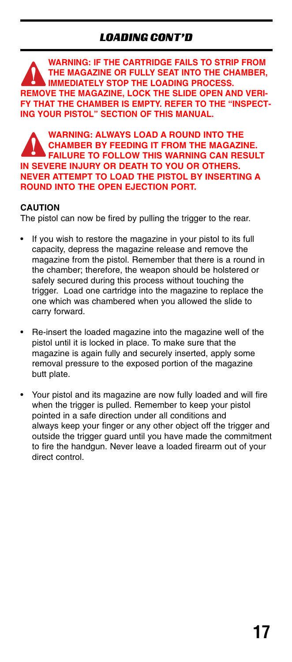**WARNING: IF THE CARTRIDGE FAILS TO STRIP FROM THE MAGAZINE OR FULLY SEAT INTO THE CHAMBER, IMMEDIATELY STOP THE LOADING PROCESS. REMOVE THE MAGAZINE, LOCK THE SLIDE OPEN AND VERI-FY THAT THE CHAMBER IS EMPTY. REFER TO THE "INSPECT-ING YOUR PISTOL" SECTION OF THIS MANUAL.**

**WARNING: ALWAYS LOAD A ROUND INTO THE CHAMBER BY FEEDING IT FROM THE MAGAZINE. FAILURE TO FOLLOW THIS WARNING CAN RESULT IN SEVERE INJURY OR DEATH TO YOU OR OTHERS. NEVER ATTEMPT TO LOAD THE PISTOL BY INSERTING A ROUND INTO THE OPEN EJECTION PORT.**

### **CAUTION**

The pistol can now be fired by pulling the trigger to the rear.

- If you wish to restore the magazine in your pistol to its full capacity, depress the magazine release and remove the magazine from the pistol. Remember that there is a round in the chamber; therefore, the weapon should be holstered or safely secured during this process without touching the trigger. Load one cartridge into the magazine to replace the one which was chambered when you allowed the slide to carry forward.
- Re-insert the loaded magazine into the magazine well of the pistol until it is locked in place. To make sure that the magazine is again fully and securely inserted, apply some removal pressure to the exposed portion of the magazine butt plate.
- Your pistol and its magazine are now fully loaded and will fire when the trigger is pulled. Remember to keep your pistol pointed in a safe direction under all conditions and always keep your finger or any other object off the trigger and outside the trigger guard until you have made the commitment to fire the handgun. Never leave a loaded firearm out of your direct control.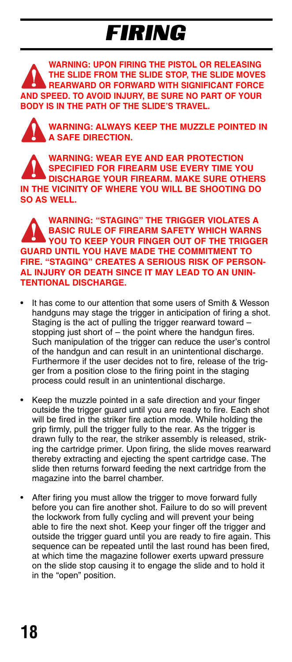# FIRING

**WARNING: UPON FIRING THE PISTOL OR RELEASING THE SLIDE FROM THE SLIDE STOP, THE SLIDE MOVES REARWARD OR FORWARD WITH SIGNIFICANT FORCE AND SPEED. TO AVOID INJURY, BE SURE NO PART OF YOUR BODY IS IN THE PATH OF THE SLIDE'S TRAVEL.**

**WARNING: ALWAYS KEEP THE MUZZLE POINTED IN A SAFE DIRECTION.**

**WARNING: WEAR EYE AND EAR PROTECTION SPECIFIED FOR FIREARM USE EVERY TIME YOU DISCHARGE YOUR FIREARM. MAKE SURE OTHERS IN THE VICINITY OF WHERE YOU WILL BE SHOOTING DO SO AS WELL.**

**WARNING: "STAGING" THE TRIGGER VIOLATES A BASIC RULE OF FIREARM SAFETY WHICH WARNS YOU TO KEEP YOUR FINGER OUT OF THE TRIGGER GUARD UNTIL YOU HAVE MADE THE COMMITMENT TO FIRE. "STAGING" CREATES A SERIOUS RISK OF PERSON-AL INJURY OR DEATH SINCE IT MAY LEAD TO AN UNIN-TENTIONAL DISCHARGE.**

- It has come to our attention that some users of Smith & Wesson handguns may stage the trigger in anticipation of firing a shot. Staging is the act of pulling the trigger rearward toward – stopping just short of – the point where the handgun fires. Such manipulation of the trigger can reduce the user's control of the handgun and can result in an unintentional discharge. Furthermore if the user decides not to fire, release of the trigger from a position close to the firing point in the staging process could result in an unintentional discharge.
- Keep the muzzle pointed in a safe direction and your finger outside the trigger guard until you are ready to fire. Each shot will be fired in the striker fire action mode. While holding the grip firmly, pull the trigger fully to the rear. As the trigger is drawn fully to the rear, the striker assembly is released, striking the cartridge primer. Upon firing, the slide moves rearward thereby extracting and ejecting the spent cartridge case. The slide then returns forward feeding the next cartridge from the magazine into the barrel chamber.
- After firing you must allow the trigger to move forward fully before you can fire another shot. Failure to do so will prevent the lockwork from fully cycling and will prevent your being able to fire the next shot. Keep your finger off the trigger and outside the trigger guard until you are ready to fire again. This sequence can be repeated until the last round has been fired, at which time the magazine follower exerts upward pressure on the slide stop causing it to engage the slide and to hold it in the "open" position.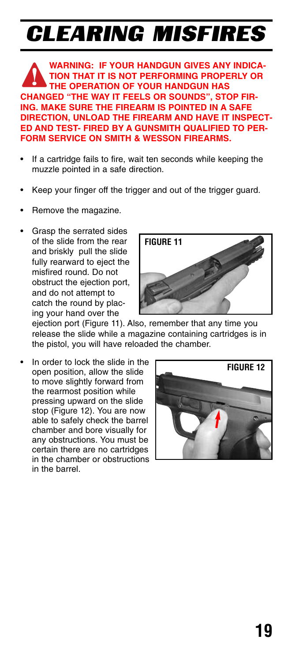# CLEARING MISFIRES

**WARNING: IF YOUR HANDGUN GIVES ANY INDICA-TION THAT IT IS NOT PERFORMING PROPERLY OR THE OPERATION OF YOUR HANDGUN HAS CHANGED "THE WAY IT FEELS OR SOUNDS", STOP FIR-ING. MAKE SURE THE FIREARM IS POINTED IN A SAFE DIRECTION, UNLOAD THE FIREARM AND HAVE IT INSPECT-ED AND TEST- FIRED BY A GUNSMITH QUALIFIED TO PER-FORM SERVICE ON SMITH & WESSON FIREARMS.**

- If a cartridge fails to fire, wait ten seconds while keeping the muzzle pointed in a safe direction.
- Keep your finger off the trigger and out of the trigger guard.
- Remove the magazine.
- Grasp the serrated sides of the slide from the rear and briskly pull the slide fully rearward to eject the misfired round. Do not obstruct the ejection port, and do not attempt to catch the round by placing your hand over the



ejection port (Figure 11). Also, remember that any time you release the slide while a magazine containing cartridges is in the pistol, you will have reloaded the chamber.

In order to lock the slide in the open position, allow the slide to move slightly forward from the rearmost position while pressing upward on the slide stop (Figure 12). You are now able to safely check the barrel chamber and bore visually for any obstructions. You must be certain there are no cartridges in the chamber or obstructions in the barrel.

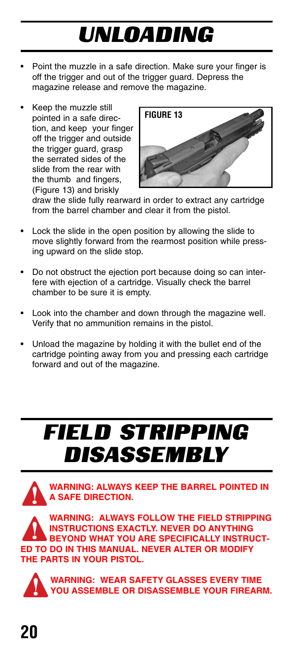# UNLOADING

- Point the muzzle in a safe direction. Make sure your finger is off the trigger and out of the trigger guard. Depress the magazine release and remove the magazine.
- Keep the muzzle still pointed in a safe direction, and keep your finger off the trigger and outside the trigger guard, grasp the serrated sides of the slide from the rear with the thumb and fingers, (Figure 13) and briskly



draw the slide fully rearward in order to extract any cartridge from the barrel chamber and clear it from the pistol.

- Lock the slide in the open position by allowing the slide to move slightly forward from the rearmost position while pressing upward on the slide stop.
- Do not obstruct the ejection port because doing so can interfere with ejection of a cartridge. Visually check the barrel chamber to be sure it is empty.
- Look into the chamber and down through the magazine well. Verify that no ammunition remains in the pistol.
- Unload the magazine by holding it with the bullet end of the cartridge pointing away from you and pressing each cartridge forward and out of the magazine.

# FIELD STRIPPING DISASSEMBLY



**INSTRUCTIONS EXACTLY. NEVER DO ANYTHING BEYOND WHAT YOU ARE SPECIFICALLY INSTRUCT-ED TO DO IN THIS MANUAL. NEVER ALTER OR MODIFY THE PARTS IN YOUR PISTOL.**

**WARNING: WEAR SAFETY GLASSES EVERY TIME YOU ASSEMBLE OR DISASSEMBLE YOUR FIREARM.**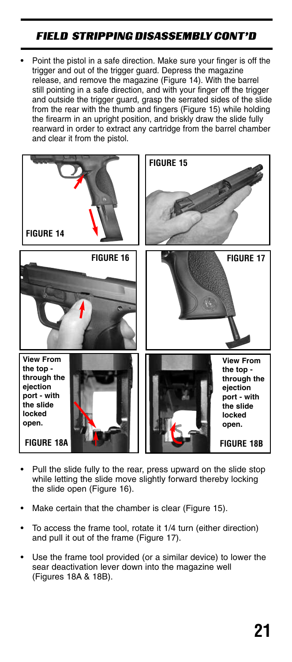### FIELD STRIPPING DISASSEMBLY CONT'D

• Point the pistol in a safe direction. Make sure your finger is off the trigger and out of the trigger guard. Depress the magazine release, and remove the magazine (Figure 14). With the barrel still pointing in a safe direction, and with your finger off the trigger and outside the trigger guard, grasp the serrated sides of the slide from the rear with the thumb and fingers (Figure 15) while holding the firearm in an upright position, and briskly draw the slide fully rearward in order to extract any cartridge from the barrel chamber and clear it from the pistol.



- Pull the slide fully to the rear, press upward on the slide stop while letting the slide move slightly forward thereby locking the slide open (Figure 16).
- Make certain that the chamber is clear (Figure 15).
- To access the frame tool, rotate it 1/4 turn (either direction) and pull it out of the frame (Figure 17).
- Use the frame tool provided (or a similar device) to lower the sear deactivation lever down into the magazine well (Figures 18A & 18B).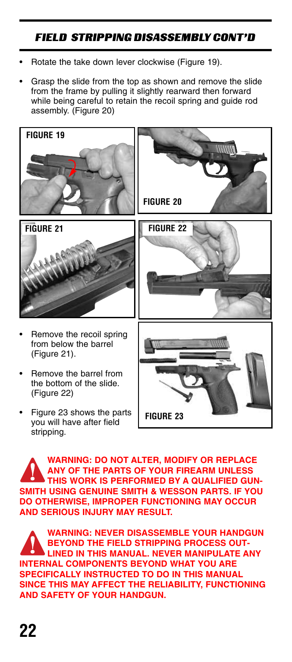## FIELD STRIPPING DISASSEMBLY CONT'D

- Rotate the take down lever clockwise (Figure 19).
- Grasp the slide from the top as shown and remove the slide from the frame by pulling it slightly rearward then forward while being careful to retain the recoil spring and guide rod assembly. (Figure 20)



**WARNING: DO NOT ALTER, MODIFY OR REPLACE ANY OF THE PARTS OF YOUR FIREARM UNLESS THIS WORK IS PERFORMED BY A QUALIFIED GUN-SMITH USING GENUINE SMITH & WESSON PARTS. IF YOU DO OTHERWISE, IMPROPER FUNCTIONING MAY OCCUR AND SERIOUS INJURY MAY RESULT.**

**WARNING: NEVER DISASSEMBLE YOUR HANDGUN BEYOND THE FIELD STRIPPING PROCESS OUT-LINED IN THIS MANUAL. NEVER MANIPULATE ANY INTERNAL COMPONENTS BEYOND WHAT YOU ARE SPECIFICALLY INSTRUCTED TO DO IN THIS MANUAL SINCE THIS MAY AFFECT THE RELIABILITY, FUNCTIONING AND SAFETY OF YOUR HANDGUN.**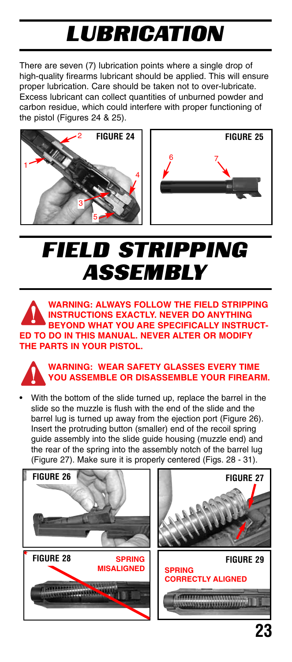# LUBRICATION

There are seven (7) lubrication points where a single drop of high-quality firearms lubricant should be applied. This will ensure proper lubrication. Care should be taken not to over-lubricate. Excess lubricant can collect quantities of unburned powder and carbon residue, which could interfere with proper functioning of the pistol (Figures 24 & 25).





# FIELD STRIPPING **ASSEMBLY**

**WARNING: ALWAYS FOLLOW THE FIELD STRIPPING INSTRUCTIONS EXACTLY. NEVER DO ANYTHING BEYOND WHAT YOU ARE SPECIFICALLY INSTRUCT-ED TO DO IN THIS MANUAL. NEVER ALTER OR MODIFY THE PARTS IN YOUR PISTOL.**

**WARNING: WEAR SAFETY GLASSES EVERY TIME YOU ASSEMBLE OR DISASSEMBLE YOUR FIREARM.**

With the bottom of the slide turned up, replace the barrel in the slide so the muzzle is flush with the end of the slide and the barrel lug is turned up away from the ejection port (Figure 26). Insert the protruding button (smaller) end of the recoil spring guide assembly into the slide guide housing (muzzle end) and the rear of the spring into the assembly notch of the barrel lug (Figure 27). Make sure it is properly centered (Figs. 28 - 31).

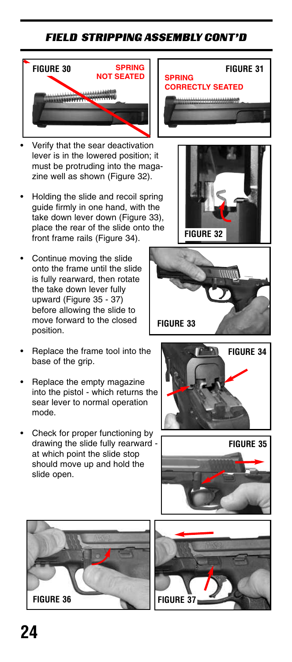## FIELD STRIPPING ASSEMBLY CONT'D



- Verify that the sear deactivation lever is in the lowered position; it must be protruding into the magazine well as shown (Figure 32).
- Holding the slide and recoil spring guide firmly in one hand, with the take down lever down (Figure 33), place the rear of the slide onto the front frame rails (Figure 34).
- Continue moving the slide onto the frame until the slide is fully rearward, then rotate the take down lever fully upward (Figure 35 - 37) before allowing the slide to move forward to the closed position.
- Replace the frame tool into the base of the grip.
- Replace the empty magazine into the pistol - which returns the sear lever to normal operation mode.
- Check for proper functioning by drawing the slide fully rearward at which point the slide stop should move up and hold the slide open.













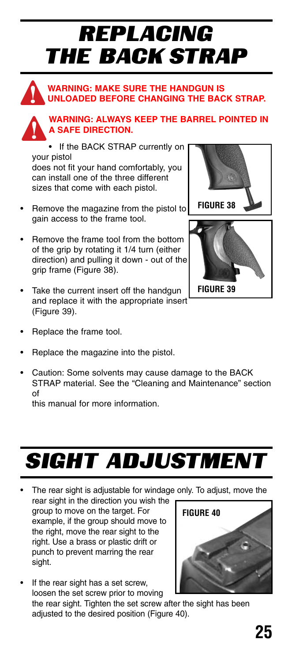# REPLACING THE BACK STRAP





### **WARNING: ALWAYS KEEP THE BARREL POINTED IN A SAFE DIRECTION.**

• If the BACK STRAP currently on your pistol does not fit your hand comfortably, you can install one of the three different sizes that come with each pistol.

- Remove the magazine from the pistol to gain access to the frame tool.
- Remove the frame tool from the bottom of the grip by rotating it 1/4 turn (either direction) and pulling it down - out of the grip frame (Figure 38).
- Take the current insert off the handgun and replace it with the appropriate insert (Figure 39).
- Replace the frame tool.
- Replace the magazine into the pistol.
- Caution: Some solvents may cause damage to the BACK STRAP material. See the "Cleaning and Maintenance" section of

this manual for more information.

# **SIGHT ADJUSTMENT**

The rear sight is adjustable for windage only. To adjust, move the rear sight in the direction you wish the

group to move on the target. For example, if the group should move to the right, move the rear sight to the right. Use a brass or plastic drift or punch to prevent marring the rear sight.

If the rear sight has a set screw, loosen the set screw prior to moving the rear sight. Tighten the set screw after the sight has been adjusted to the desired position (Figure 40).







**25**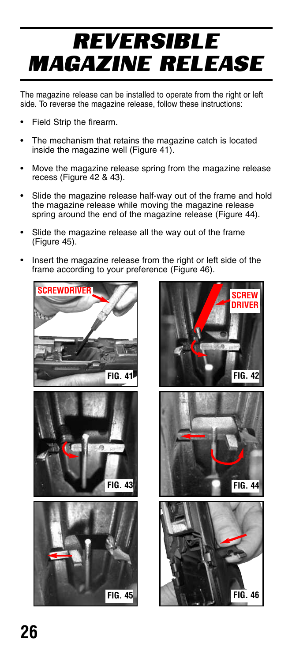# REVERSIBLE MAGAZINE RELEASE

The magazine release can be installed to operate from the right or left side. To reverse the magazine release, follow these instructions:

- Field Strip the firearm.
- The mechanism that retains the magazine catch is located inside the magazine well (Figure 41).
- Move the magazine release spring from the magazine release recess (Figure 42 & 43).
- Slide the magazine release half-way out of the frame and hold the magazine release while moving the magazine release spring around the end of the magazine release (Figure 44).
- Slide the magazine release all the way out of the frame (Figure 45).
- Insert the magazine release from the right or left side of the frame according to your preference (Figure 46).



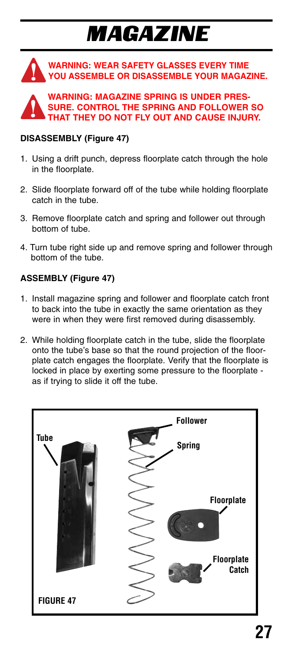# MAGAZINE





#### **DISASSEMBLY (Figure 47)**

- 1. Using a drift punch, depress floorplate catch through the hole in the floorplate.
- 2. Slide floorplate forward off of the tube while holding floorplate catch in the tube.
- 3. Remove floorplate catch and spring and follower out through bottom of tube.
- 4. Turn tube right side up and remove spring and follower through bottom of the tube.

#### **ASSEMBLY (Figure 47)**

- 1. Install magazine spring and follower and floorplate catch front to back into the tube in exactly the same orientation as they were in when they were first removed during disassembly.
- 2. While holding floorplate catch in the tube, slide the floorplate onto the tube's base so that the round projection of the floorplate catch engages the floorplate. Verify that the floorplate is locked in place by exerting some pressure to the floorplate as if trying to slide it off the tube.

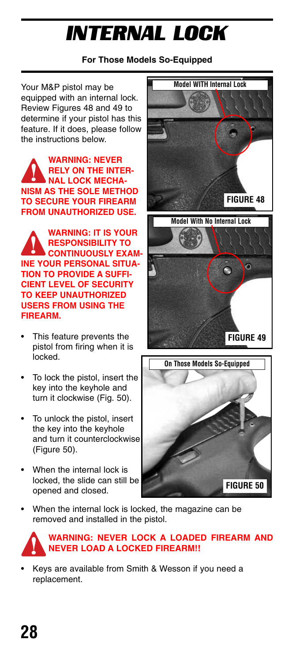# INTERNAL LOCK

### **For Those Models So-Equipped**

Your M&P pistol may be equipped with an internal lock. Review Figures 48 and 49 to determine if your pistol has this feature. If it does, please follow the instructions below.

**WARNING: NEVER RELY ON THE INTER-NAL LOCK MECHA-NISM AS THE SOLE METHOD TO SECURE YOUR FIREARM FROM UNAUTHORIZED USE.**

**WARNING: IT IS YOUR RESPONSIBILITY TO CONTINUOUSLY EXAM-INE YOUR PERSONAL SITUA-TION TO PROVIDE A SUFFI-CIENT LEVEL OF SECURITY TO KEEP UNAUTHORIZED USERS FROM USING THE FIREARM.**

- This feature prevents the pistol from firing when it is locked.
- To lock the pistol, insert the key into the keyhole and turn it clockwise (Fig. 50).
- To unlock the pistol, insert the key into the keyhole and turn it counterclockwise (Figure 50).
- When the internal lock is locked, the slide can still be opened and closed.





When the internal lock is locked, the magazine can be removed and installed in the pistol.



### **WARNING: NEVER LOCK A LOADED FIREARM AND NEVER LOAD A LOCKED FIREARM!!**

• Keys are available from Smith & Wesson if you need a replacement.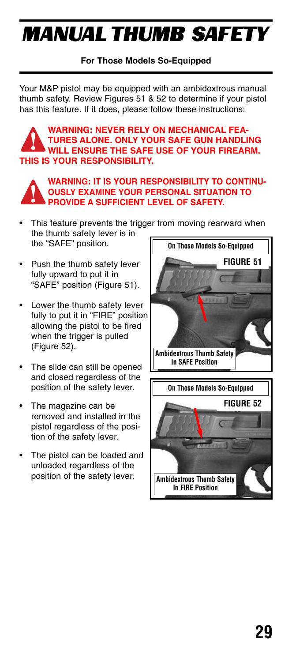# MANUAL THUMB SAFETY

### **For Those Models So-Equipped**

Your M&P pistol may be equipped with an ambidextrous manual thumb safety. Review Figures 51 & 52 to determine if your pistol has this feature. If it does, please follow these instructions:

#### **WARNING: NEVER RELY ON MECHANICAL FEA-TURES ALONE. ONLY YOUR SAFE GUN HANDLING WILL ENSURE THE SAFE USE OF YOUR FIREARM. THIS IS YOUR RESPONSIBILITY.**



#### **WARNING: IT IS YOUR RESPONSIBILITY TO CONTINU-OUSLY EXAMINE YOUR PERSONAL SITUATION TO PROVIDE A SUFFICIENT LEVEL OF SAFETY.**

- This feature prevents the trigger from moving rearward when the thumb safety lever is in the "SAFE" position.
- Push the thumb safety lever fully upward to put it in "SAFE" position (Figure 51).
- Lower the thumb safety lever fully to put it in "FIRE" position allowing the pistol to be fired when the trigger is pulled (Figure 52).
- The slide can still be opened and closed regardless of the position of the safety lever.
- The magazine can be removed and installed in the pistol regardless of the position of the safety lever.
- The pistol can be loaded and unloaded regardless of the position of the safety lever.

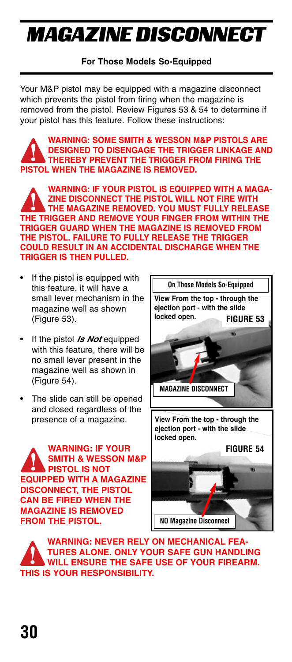# MAGAZINE DISCONNECT

### **For Those Models So-Equipped**

Your M&P pistol may be equipped with a magazine disconnect which prevents the pistol from firing when the magazine is removed from the pistol. Review Figures 53 & 54 to determine if your pistol has this feature. Follow these instructions:

**WARNING: SOME SMITH & WESSON M&P PISTOLS ARE DESIGNED TO DISENGAGE THE TRIGGER LINKAGE AND THEREBY PREVENT THE TRIGGER FROM FIRING THE PISTOL WHEN THE MAGAZINE IS REMOVED.** 

**WARNING: IF YOUR PISTOL IS EQUIPPED WITH A MAGA-ZINE DISCONNECT THE PISTOL WILL NOT FIRE WITH THE MAGAZINE REMOVED. YOU MUST FULLY RELEASE THE TRIGGER AND REMOVE YOUR FINGER FROM WITHIN THE TRIGGER GUARD WHEN THE MAGAZINE IS REMOVED FROM THE PISTOL. FAILURE TO FULLY RELEASE THE TRIGGER COULD RESULT IN AN ACCIDENTAL DISCHARGE WHEN THE TRIGGER IS THEN PULLED.** 

- If the pistol is equipped with this feature, it will have a small lever mechanism in the magazine well as shown (Figure 53).
- If the pistol **Is Not** equipped with this feature, there will be no small lever present in the magazine well as shown in (Figure 54).
- The slide can still be opened and closed regardless of the presence of a magazine.

**WARNING: IF YOUR SMITH & WESSON M&P PISTOL IS NOT EQUIPPED WITH A MAGAZINE DISCONNECT, THE PISTOL CAN BE FIRED WHEN THE MAGAZINE IS REMOVED FROM THE PISTOL.** 



**WARNING: NEVER RELY ON MECHANICAL FEA-TURES ALONE. ONLY YOUR SAFE GUN HANDLING WILL ENSURE THE SAFE USE OF YOUR FIREARM. THIS IS YOUR RESPONSIBILITY.**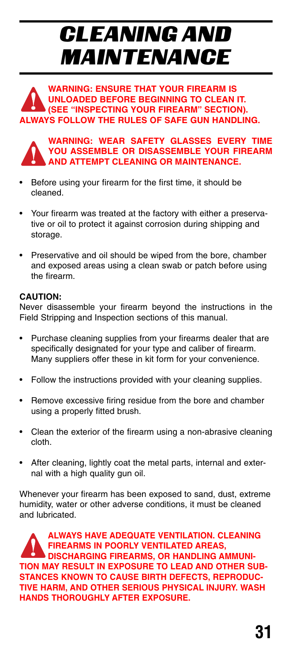# CLEANING AND MAINTENANCE

**WARNING: ENSURE THAT YOUR FIREARM IS UNLOADED BEFORE BEGINNING TO CLEAN IT. (SEE "INSPECTING YOUR FIREARM" SECTION). ALWAYS FOLLOW THE RULES OF SAFE GUN HANDLING.**



**WARNING: WEAR SAFETY GLASSES EVERY TIME YOU ASSEMBLE OR DISASSEMBLE YOUR FIREARM AND ATTEMPT CLEANING OR MAINTENANCE.**

- Before using your firearm for the first time, it should be cleaned.
- Your firearm was treated at the factory with either a preservative or oil to protect it against corrosion during shipping and storage.
- Preservative and oil should be wiped from the bore, chamber and exposed areas using a clean swab or patch before using the firearm.

#### **CAUTION:**

Never disassemble your firearm beyond the instructions in the Field Stripping and Inspection sections of this manual.

- Purchase cleaning supplies from your firearms dealer that are specifically designated for your type and caliber of firearm. Many suppliers offer these in kit form for your convenience.
- Follow the instructions provided with your cleaning supplies.
- Remove excessive firing residue from the bore and chamber using a properly fitted brush.
- Clean the exterior of the firearm using a non-abrasive cleaning cloth.
- After cleaning, lightly coat the metal parts, internal and external with a high quality gun oil.

Whenever your firearm has been exposed to sand, dust, extreme humidity, water or other adverse conditions, it must be cleaned and lubricated.

**ALWAYS HAVE ADEQUATE VENTILATION. CLEANING FIREARMS IN POORLY VENTILATED AREAS, DISCHARGING FIREARMS, OR HANDLING AMMUNI-TION MAY RESULT IN EXPOSURE TO LEAD AND OTHER SUB-STANCES KNOWN TO CAUSE BIRTH DEFECTS, REPRODUC-TIVE HARM, AND OTHER SERIOUS PHYSICAL INJURY. WASH HANDS THOROUGHLY AFTER EXPOSURE.**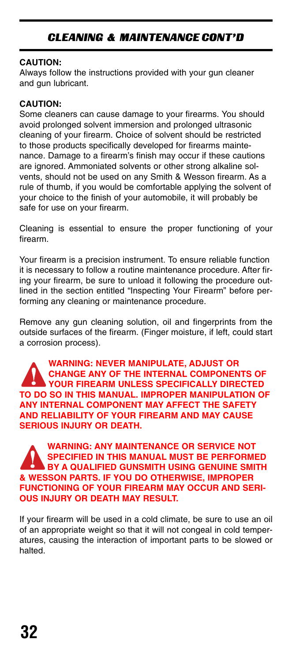### CLEANING & MAINTENANCE CONT'D

#### **CAUTION:**

Always follow the instructions provided with your gun cleaner and gun lubricant.

#### **CAUTION:**

Some cleaners can cause damage to your firearms. You should avoid prolonged solvent immersion and prolonged ultrasonic cleaning of your firearm. Choice of solvent should be restricted to those products specifically developed for firearms maintenance. Damage to a firearm's finish may occur if these cautions are ignored. Ammoniated solvents or other strong alkaline solvents, should not be used on any Smith & Wesson firearm. As a rule of thumb, if you would be comfortable applying the solvent of your choice to the finish of your automobile, it will probably be safe for use on your firearm.

Cleaning is essential to ensure the proper functioning of your firearm.

Your firearm is a precision instrument. To ensure reliable function it is necessary to follow a routine maintenance procedure. After firing your firearm, be sure to unload it following the procedure outlined in the section entitled "Inspecting Your Firearm" before performing any cleaning or maintenance procedure.

Remove any gun cleaning solution, oil and fingerprints from the outside surfaces of the firearm. (Finger moisture, if left, could start a corrosion process).

**WARNING: NEVER MANIPULATE, ADJUST OR CHANGE ANY OF THE INTERNAL COMPONENTS OF YOUR FIREARM UNLESS SPECIFICALLY DIRECTED TO DO SO IN THIS MANUAL. IMPROPER MANIPULATION OF ANY INTERNAL COMPONENT MAY AFFECT THE SAFETY AND RELIABILITY OF YOUR FIREARM AND MAY CAUSE SERIOUS INJURY OR DEATH.**

**WARNING: ANY MAINTENANCE OR SERVICE NOT SPECIFIED IN THIS MANUAL MUST BE PERFORMED BY A QUALIFIED GUNSMITH USING GENUINE SMITH & WESSON PARTS. IF YOU DO OTHERWISE, IMPROPER FUNCTIONING OF YOUR FIREARM MAY OCCUR AND SERI-OUS INJURY OR DEATH MAY RESULT.**

If your firearm will be used in a cold climate, be sure to use an oil of an appropriate weight so that it will not congeal in cold temperatures, causing the interaction of important parts to be slowed or halted.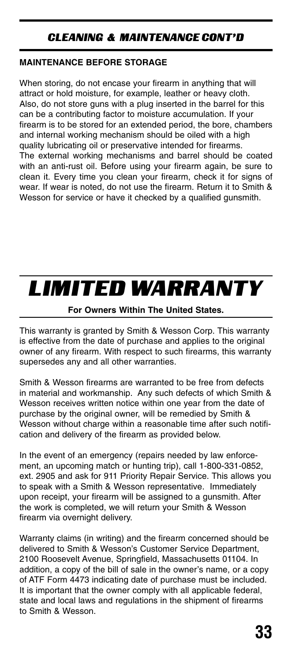## CLEANING & MAINTENANCE CONT'D

### **MAINTENANCE BEFORE STORAGE**

When storing, do not encase your firearm in anything that will attract or hold moisture, for example, leather or heavy cloth. Also, do not store guns with a plug inserted in the barrel for this can be a contributing factor to moisture accumulation. If your firearm is to be stored for an extended period, the bore, chambers and internal working mechanism should be oiled with a high quality lubricating oil or preservative intended for firearms. The external working mechanisms and barrel should be coated with an anti-rust oil. Before using your firearm again, be sure to clean it. Every time you clean your firearm, check it for signs of wear. If wear is noted, do not use the firearm. Return it to Smith & Wesson for service or have it checked by a qualified gunsmith.

## LIMITED WARRANTY

### **For Owners Within The United States.**

This warranty is granted by Smith & Wesson Corp. This warranty is effective from the date of purchase and applies to the original owner of any firearm. With respect to such firearms, this warranty supersedes any and all other warranties.

Smith & Wesson firearms are warranted to be free from defects in material and workmanship. Any such defects of which Smith & Wesson receives written notice within one year from the date of purchase by the original owner, will be remedied by Smith & Wesson without charge within a reasonable time after such notification and delivery of the firearm as provided below.

In the event of an emergency (repairs needed by law enforcement, an upcoming match or hunting trip), call 1-800-331-0852, ext. 2905 and ask for 911 Priority Repair Service. This allows you to speak with a Smith & Wesson representative. Immediately upon receipt, your firearm will be assigned to a gunsmith. After the work is completed, we will return your Smith & Wesson firearm via overnight delivery.

Warranty claims (in writing) and the firearm concerned should be delivered to Smith & Wesson's Customer Service Department, 2100 Roosevelt Avenue, Springfield, Massachusetts 01104. In addition, a copy of the bill of sale in the owner's name, or a copy of ATF Form 4473 indicating date of purchase must be included. It is important that the owner comply with all applicable federal, state and local laws and regulations in the shipment of firearms to Smith & Wesson.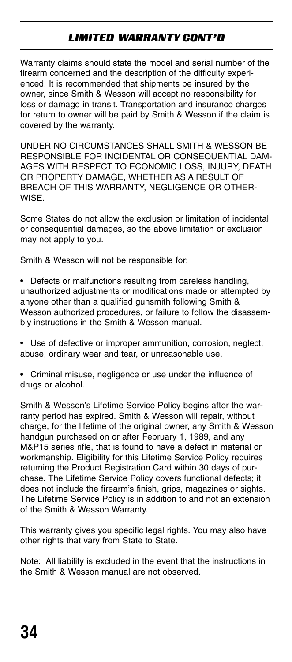## LIMITED WARRANTY CONT'D

Warranty claims should state the model and serial number of the firearm concerned and the description of the difficulty experienced. It is recommended that shipments be insured by the owner, since Smith & Wesson will accept no responsibility for loss or damage in transit. Transportation and insurance charges for return to owner will be paid by Smith & Wesson if the claim is covered by the warranty.

UNDER NO CIRCUMSTANCES SHALL SMITH & WESSON BE RESPONSIBLE FOR INCIDENTAL OR CONSEQUENTIAL DAM-AGES WITH RESPECT TO ECONOMIC LOSS, INJURY, DEATH OR PROPERTY DAMAGE, WHETHER AS A RESULT OF BREACH OF THIS WARRANTY, NEGLIGENCE OR OTHER-WISE.

Some States do not allow the exclusion or limitation of incidental or consequential damages, so the above limitation or exclusion may not apply to you.

Smith & Wesson will not be responsible for:

- Defects or malfunctions resulting from careless handling, unauthorized adjustments or modifications made or attempted by anyone other than a qualified gunsmith following Smith & Wesson authorized procedures, or failure to follow the disassembly instructions in the Smith & Wesson manual.
- Use of defective or improper ammunition, corrosion, neglect, abuse, ordinary wear and tear, or unreasonable use.
- Criminal misuse, negligence or use under the influence of drugs or alcohol.

Smith & Wesson's Lifetime Service Policy begins after the warranty period has expired. Smith & Wesson will repair, without charge, for the lifetime of the original owner, any Smith & Wesson handgun purchased on or after February 1, 1989, and any M&P15 series rifle, that is found to have a defect in material or workmanship. Eligibility for this Lifetime Service Policy requires returning the Product Registration Card within 30 days of purchase. The Lifetime Service Policy covers functional defects; it does not include the firearm's finish, grips, magazines or sights. The Lifetime Service Policy is in addition to and not an extension of the Smith & Wesson Warranty.

This warranty gives you specific legal rights. You may also have other rights that vary from State to State.

Note: All liability is excluded in the event that the instructions in the Smith & Wesson manual are not observed.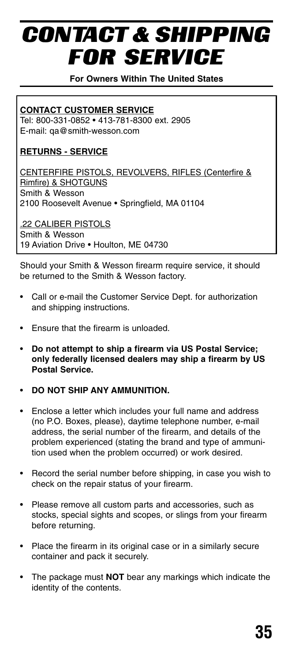# CONTACT & SHIPPING FOR SERVICE

**For Owners Within The United States**

### **CONTACT CUSTOMER SERVICE**

Tel: 800-331-0852 • 413-781-8300 ext. 2905 E-mail: qa@smith-wesson.com

### **RETURNS - SERVICE**

CENTERFIRE PISTOLS, REVOLVERS, RIFLES (Centerfire & Rimfire) & SHOTGUNS Smith & Wesson 2100 Roosevelt Avenue • Springfield, MA 01104

.22 CALIBER PISTOLS Smith & Wesson 19 Aviation Drive • Houlton, ME 04730

Should your Smith & Wesson firearm require service, it should be returned to the Smith & Wesson factory.

- Call or e-mail the Customer Service Dept. for authorization and shipping instructions.
- Ensure that the firearm is unloaded.
- **Do not attempt to ship a firearm via US Postal Service; only federally licensed dealers may ship a firearm by US Postal Service.**
- **DO NOT SHIP ANY AMMUNITION.**
- Enclose a letter which includes your full name and address (no P.O. Boxes, please), daytime telephone number, e-mail address, the serial number of the firearm, and details of the problem experienced (stating the brand and type of ammunition used when the problem occurred) or work desired.
- Record the serial number before shipping, in case you wish to check on the repair status of your firearm.
- Please remove all custom parts and accessories, such as stocks, special sights and scopes, or slings from your firearm before returning.
- Place the firearm in its original case or in a similarly secure container and pack it securely.
- The package must **NOT** bear any markings which indicate the identity of the contents.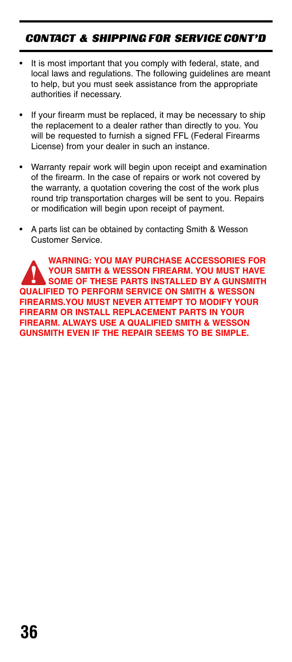## CONTACT & SHIPPING FOR SERVICE CONT'D

- It is most important that you comply with federal, state, and local laws and regulations. The following guidelines are meant to help, but you must seek assistance from the appropriate authorities if necessary.
- If your firearm must be replaced, it may be necessary to ship the replacement to a dealer rather than directly to you. You will be requested to furnish a signed FFL (Federal Firearms License) from your dealer in such an instance.
- Warranty repair work will begin upon receipt and examination of the firearm. In the case of repairs or work not covered by the warranty, a quotation covering the cost of the work plus round trip transportation charges will be sent to you. Repairs or modification will begin upon receipt of payment.
- A parts list can be obtained by contacting Smith & Wesson Customer Service.

**WARNING: YOU MAY PURCHASE ACCESSORIES FOR YOUR SMITH & WESSON FIREARM. YOU MUST HAVE SOME OF THESE PARTS INSTALLED BY A GUNSMITH QUALIFIED TO PERFORM SERVICE ON SMITH & WESSON FIREARMS.YOU MUST NEVER ATTEMPT TO MODIFY YOUR FIREARM OR INSTALL REPLACEMENT PARTS IN YOUR FIREARM. ALWAYS USE A QUALIFIED SMITH & WESSON GUNSMITH EVEN IF THE REPAIR SEEMS TO BE SIMPLE.**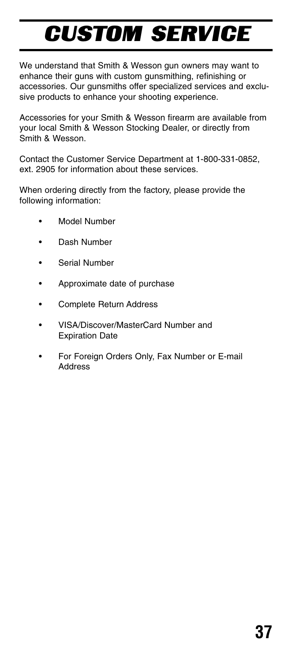# CUSTOM SERVICE

We understand that Smith & Wesson gun owners may want to enhance their guns with custom gunsmithing, refinishing or accessories. Our gunsmiths offer specialized services and exclusive products to enhance your shooting experience.

Accessories for your Smith & Wesson firearm are available from your local Smith & Wesson Stocking Dealer, or directly from Smith & Wesson.

Contact the Customer Service Department at 1-800-331-0852, ext. 2905 for information about these services.

When ordering directly from the factory, please provide the following information:

- Model Number
- Dash Number
- Serial Number
- Approximate date of purchase
- Complete Return Address
- VISA/Discover/MasterCard Number and Expiration Date
- For Foreign Orders Only, Fax Number or E-mail **Address**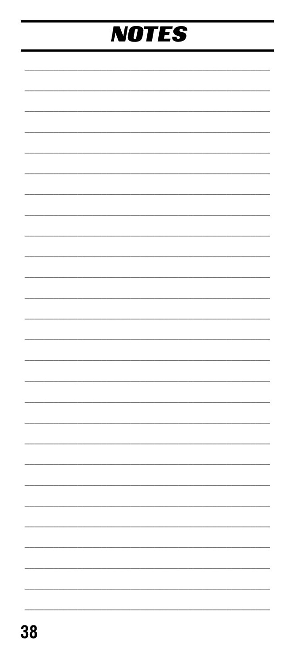# **NOTES**

j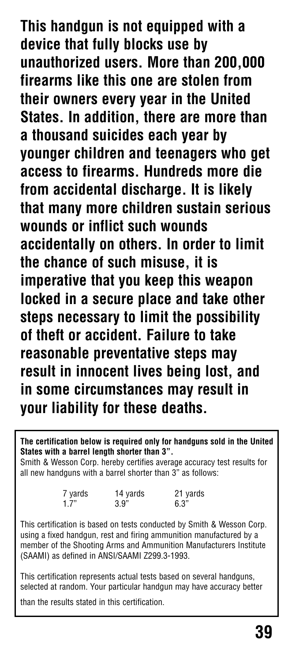**This handgun is not equipped with a device that fully blocks use by unauthorized users. More than 200,000 firearms like this one are stolen from their owners every year in the United States. In addition, there are more than a thousand suicides each year by younger children and teenagers who get access to firearms. Hundreds more die from accidental discharge. It is likely that many more children sustain serious wounds or inflict such wounds accidentally on others. In order to limit the chance of such misuse, it is imperative that you keep this weapon locked in a secure place and take other steps necessary to limit the possibility of theft or accident. Failure to take reasonable preventative steps may result in innocent lives being lost, and in some circumstances may result in your liability for these deaths.**

**The certification below is required only for handguns sold in the United States with a barrel length shorter than 3".**

Smith & Wesson Corp. hereby certifies average accuracy test results for all new handguns with a barrel shorter than 3" as follows:

| 7 yards | 14 yards | 21 yards |
|---------|----------|----------|
| 1.7"    | 3.9"     | 6.3"     |

This certification is based on tests conducted by Smith & Wesson Corp. using a fixed handgun, rest and firing ammunition manufactured by a member of the Shooting Arms and Ammunition Manufacturers Institute (SAAMI) as defined in ANSI/SAAMI Z299.3-1993.

This certification represents actual tests based on several handguns, selected at random. Your particular handgun may have accuracy better

than the results stated in this certification.